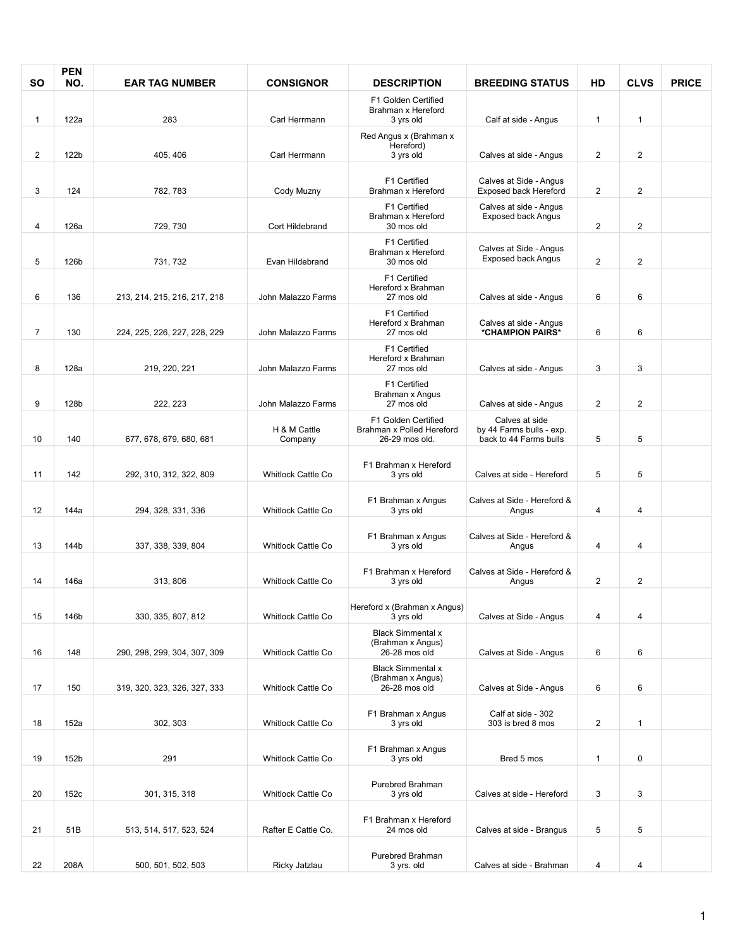| <b>SO</b>      | <b>PEN</b><br>NO. | <b>EAR TAG NUMBER</b>        | <b>CONSIGNOR</b>                      | <b>DESCRIPTION</b>                                                 | <b>BREEDING STATUS</b>                                               | HD             | <b>CLVS</b>       | <b>PRICE</b> |
|----------------|-------------------|------------------------------|---------------------------------------|--------------------------------------------------------------------|----------------------------------------------------------------------|----------------|-------------------|--------------|
|                |                   |                              |                                       | F1 Golden Certified<br>Brahman x Hereford                          |                                                                      |                |                   |              |
| $\mathbf{1}$   | 122a              | 283                          | Carl Herrmann                         | 3 yrs old                                                          | Calf at side - Angus                                                 | $\mathbf{1}$   | $\mathbf{1}$      |              |
| $\overline{2}$ | 122b              | 405, 406                     | Carl Herrmann                         | Red Angus x (Brahman x<br>Hereford)<br>3 yrs old                   | Calves at side - Angus                                               | $\overline{2}$ | 2                 |              |
| 3              | 124               | 782, 783                     | Cody Muzny                            | F1 Certified<br>Brahman x Hereford                                 | Calves at Side - Angus<br>Exposed back Hereford                      | $\overline{2}$ | $\mathbf{2}$      |              |
| 4              | 126a              | 729, 730                     | Cort Hildebrand                       | F1 Certified<br>Brahman x Hereford<br>30 mos old                   | Calves at side - Angus<br><b>Exposed back Angus</b>                  | $\overline{2}$ | $\mathbf{2}$      |              |
|                |                   |                              |                                       | F1 Certified<br>Brahman x Hereford                                 | Calves at Side - Angus<br><b>Exposed back Angus</b>                  |                |                   |              |
| 5              | 126b              | 731, 732                     | Evan Hildebrand<br>John Malazzo Farms | 30 mos old<br>F1 Certified<br>Hereford x Brahman<br>27 mos old     |                                                                      | $\overline{2}$ | $\mathbf{2}$<br>6 |              |
| 6              | 136               | 213, 214, 215, 216, 217, 218 |                                       | F1 Certified<br>Hereford x Brahman                                 | Calves at side - Angus<br>Calves at side - Angus                     | 6              |                   |              |
| $\overline{7}$ | 130               | 224, 225, 226, 227, 228, 229 | John Malazzo Farms                    | 27 mos old<br>F1 Certified                                         | *CHAMPION PAIRS*                                                     | 6              | 6                 |              |
| 8              | 128a              | 219, 220, 221                | John Malazzo Farms                    | Hereford x Brahman<br>27 mos old                                   | Calves at side - Angus                                               | 3              | 3                 |              |
| 9              | 128b              | 222, 223                     | John Malazzo Farms                    | F1 Certified<br>Brahman x Angus<br>27 mos old                      | Calves at side - Angus                                               | $\overline{2}$ | $\mathbf{2}$      |              |
| 10             | 140               | 677, 678, 679, 680, 681      | H & M Cattle<br>Company               | F1 Golden Certified<br>Brahman x Polled Hereford<br>26-29 mos old. | Calves at side<br>by 44 Farms bulls - exp.<br>back to 44 Farms bulls | 5              | 5                 |              |
|                |                   |                              |                                       |                                                                    |                                                                      |                |                   |              |
| 11             | 142               | 292, 310, 312, 322, 809      | <b>Whitlock Cattle Co</b>             | F1 Brahman x Hereford<br>3 yrs old                                 | Calves at side - Hereford                                            | 5              | 5                 |              |
| 12             | 144a              | 294, 328, 331, 336           | <b>Whitlock Cattle Co</b>             | F1 Brahman x Angus<br>3 yrs old                                    | Calves at Side - Hereford &<br>Angus                                 | 4              | 4                 |              |
| 13             | 144b              | 337, 338, 339, 804           | <b>Whitlock Cattle Co</b>             | F1 Brahman x Angus<br>3 yrs old                                    | Calves at Side - Hereford &<br>Angus                                 | 4              | 4                 |              |
|                |                   |                              |                                       |                                                                    |                                                                      |                |                   |              |
| 14             | 146a              | 313, 806                     | <b>Whitlock Cattle Co</b>             | F1 Brahman x Hereford<br>3 yrs old                                 | Calves at Side - Hereford &<br>Angus                                 | $\overline{2}$ | $\mathbf{2}$      |              |
| 15             | 146b              | 330, 335, 807, 812           | <b>Whitlock Cattle Co</b>             | Hereford x (Brahman x Angus)<br>3 yrs old                          | Calves at Side - Angus                                               | 4              | 4                 |              |
| 16             | 148               | 290, 298, 299, 304, 307, 309 | <b>Whitlock Cattle Co</b>             | <b>Black Simmental x</b><br>(Brahman x Angus)<br>26-28 mos old     | Calves at Side - Angus                                               | 6              | 6                 |              |
| 17             | 150               | 319, 320, 323, 326, 327, 333 | <b>Whitlock Cattle Co</b>             | <b>Black Simmental x</b><br>(Brahman x Angus)<br>26-28 mos old     | Calves at Side - Angus                                               | 6              | 6                 |              |
| 18             | 152a              | 302, 303                     | Whitlock Cattle Co                    | F1 Brahman x Angus<br>3 yrs old                                    | Calf at side - 302<br>303 is bred 8 mos                              | $\overline{2}$ | $\mathbf{1}$      |              |
|                |                   |                              |                                       | F1 Brahman x Angus                                                 |                                                                      |                |                   |              |
| 19             | 152b              | 291                          | Whitlock Cattle Co                    | 3 yrs old                                                          | Bred 5 mos                                                           | $\mathbf{1}$   | 0                 |              |
| 20             | 152c              | 301, 315, 318                | Whitlock Cattle Co                    | Purebred Brahman<br>3 yrs old                                      | Calves at side - Hereford                                            | 3              | 3                 |              |
| 21             | 51B               | 513, 514, 517, 523, 524      | Rafter E Cattle Co.                   | F1 Brahman x Hereford<br>24 mos old                                | Calves at side - Brangus                                             | 5              | 5                 |              |
|                |                   |                              |                                       | Purebred Brahman                                                   |                                                                      |                |                   |              |
| 22             | 208A              | 500, 501, 502, 503           | Ricky Jatzlau                         | 3 yrs. old                                                         | Calves at side - Brahman                                             | 4              | 4                 |              |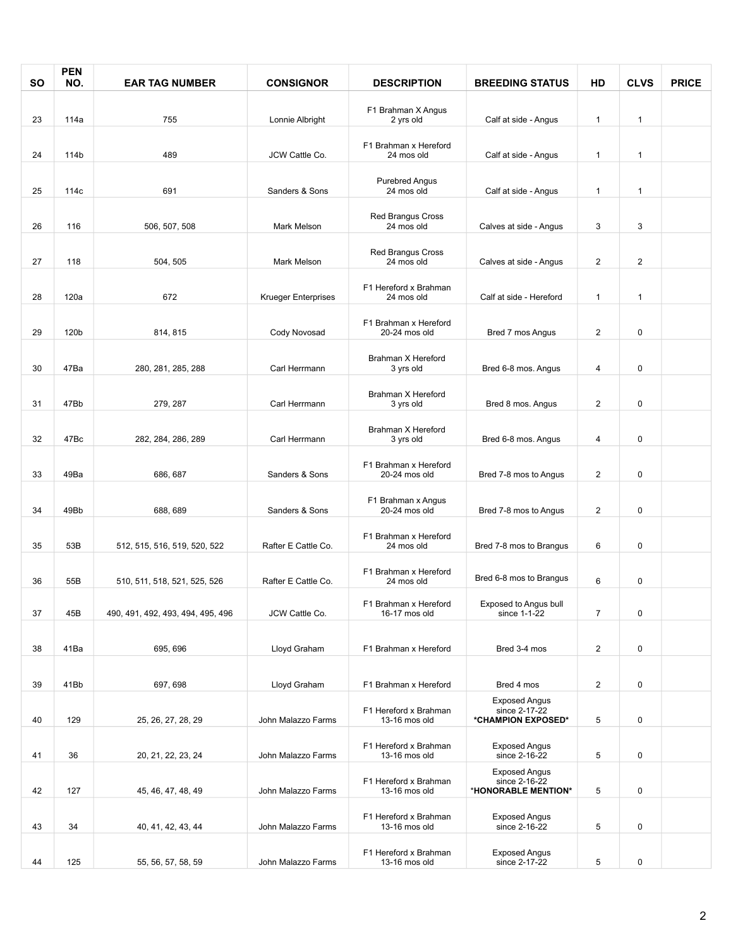| <b>SO</b> | <b>PEN</b><br>NO. | <b>EAR TAG NUMBER</b>             | <b>CONSIGNOR</b>           | <b>DESCRIPTION</b>                     | <b>BREEDING STATUS</b>                                       | HD                      | <b>CLVS</b>  | <b>PRICE</b> |
|-----------|-------------------|-----------------------------------|----------------------------|----------------------------------------|--------------------------------------------------------------|-------------------------|--------------|--------------|
|           |                   |                                   |                            | F1 Brahman X Angus                     |                                                              |                         |              |              |
| 23        | 114a              | 755                               | Lonnie Albright            | 2 yrs old                              | Calf at side - Angus                                         | $\mathbf{1}$            | $\mathbf{1}$ |              |
| 24        | 114b              | 489                               | JCW Cattle Co.             | F1 Brahman x Hereford<br>24 mos old    | Calf at side - Angus                                         | $\mathbf{1}$            | $\mathbf{1}$ |              |
| 25        | 114c              | 691                               | Sanders & Sons             | <b>Purebred Angus</b><br>24 mos old    | Calf at side - Angus                                         | $\mathbf{1}$            | $\mathbf{1}$ |              |
| 26        | 116               | 506, 507, 508                     | Mark Melson                | Red Brangus Cross<br>24 mos old        | Calves at side - Angus                                       | 3                       | 3            |              |
| 27        | 118               | 504, 505                          | Mark Melson                | <b>Red Brangus Cross</b><br>24 mos old | Calves at side - Angus                                       | 2                       | 2            |              |
| 28        | 120a              | 672                               | <b>Krueger Enterprises</b> | F1 Hereford x Brahman<br>24 mos old    | Calf at side - Hereford                                      | 1                       | $\mathbf{1}$ |              |
| 29        | 120b              | 814, 815                          | Cody Novosad               | F1 Brahman x Hereford<br>20-24 mos old | Bred 7 mos Angus                                             | 2                       | 0            |              |
| 30        | 47Ba              | 280, 281, 285, 288                | Carl Herrmann              | Brahman X Hereford<br>3 yrs old        | Bred 6-8 mos. Angus                                          | 4                       | $\pmb{0}$    |              |
| 31        | 47Bb              | 279, 287                          | Carl Herrmann              | Brahman X Hereford<br>3 yrs old        | Bred 8 mos. Angus                                            | 2                       | 0            |              |
| 32        | 47Bc              | 282, 284, 286, 289                | Carl Herrmann              | Brahman X Hereford<br>3 yrs old        | Bred 6-8 mos. Angus                                          | 4                       | 0            |              |
|           |                   |                                   |                            |                                        |                                                              |                         |              |              |
| 33        | 49Ba              | 686, 687                          | Sanders & Sons             | F1 Brahman x Hereford<br>20-24 mos old | Bred 7-8 mos to Angus                                        | 2                       | 0            |              |
| 34        | 49Bb              | 688, 689                          | Sanders & Sons             | F1 Brahman x Angus<br>20-24 mos old    | Bred 7-8 mos to Angus                                        | $\overline{\mathbf{c}}$ | $\pmb{0}$    |              |
|           |                   |                                   |                            |                                        |                                                              |                         |              |              |
| 35        | 53B               | 512, 515, 516, 519, 520, 522      | Rafter E Cattle Co.        | F1 Brahman x Hereford<br>24 mos old    | Bred 7-8 mos to Brangus                                      | 6                       | $\pmb{0}$    |              |
| 36        | 55B               | 510, 511, 518, 521, 525, 526      | Rafter E Cattle Co.        | F1 Brahman x Hereford<br>24 mos old    | Bred 6-8 mos to Brangus                                      | 6                       | 0            |              |
| 37        | 45B               | 490, 491, 492, 493, 494, 495, 496 | JCW Cattle Co.             | F1 Brahman x Hereford<br>16-17 mos old | Exposed to Angus bull<br>since 1-1-22                        | $\overline{7}$          | $\pmb{0}$    |              |
| 38        | 41Ba              | 695, 696                          | Lloyd Graham               | F1 Brahman x Hereford                  | Bred 3-4 mos                                                 | $\overline{2}$          | 0            |              |
|           |                   |                                   |                            |                                        |                                                              |                         |              |              |
| 39        | 41Bb              | 697, 698                          | Lloyd Graham               | F1 Brahman x Hereford                  | Bred 4 mos                                                   | 2                       | 0            |              |
| 40        | 129               | 25, 26, 27, 28, 29                | John Malazzo Farms         | F1 Hereford x Brahman<br>13-16 mos old | <b>Exposed Angus</b><br>since 2-17-22<br>*CHAMPION EXPOSED*  | 5                       | 0            |              |
| 41        | 36                | 20, 21, 22, 23, 24                | John Malazzo Farms         | F1 Hereford x Brahman<br>13-16 mos old | <b>Exposed Angus</b><br>since 2-16-22                        | 5                       | 0            |              |
| 42        | 127               | 45, 46, 47, 48, 49                | John Malazzo Farms         | F1 Hereford x Brahman<br>13-16 mos old | <b>Exposed Angus</b><br>since 2-16-22<br>*HONORABLE MENTION* | 5                       | 0            |              |
| 43        | 34                | 40, 41, 42, 43, 44                | John Malazzo Farms         | F1 Hereford x Brahman<br>13-16 mos old | <b>Exposed Angus</b><br>since 2-16-22                        | 5                       | 0            |              |
| 44        | 125               | 55, 56, 57, 58, 59                | John Malazzo Farms         | F1 Hereford x Brahman<br>13-16 mos old | <b>Exposed Angus</b><br>since 2-17-22                        | 5                       | 0            |              |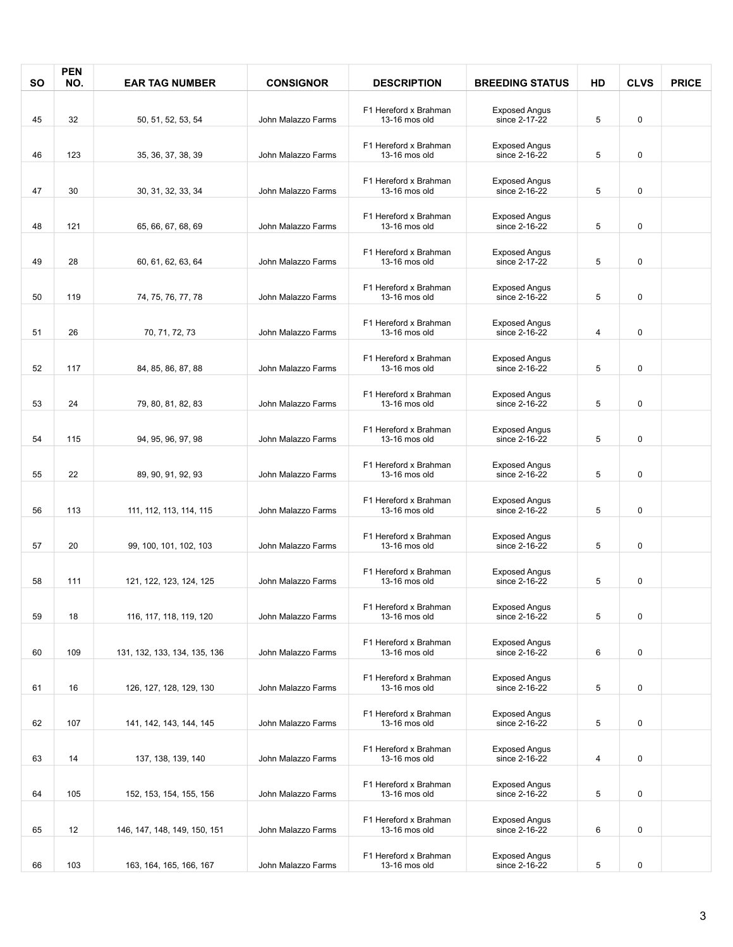| <b>SO</b> | <b>PEN</b><br>NO. | <b>EAR TAG NUMBER</b>        | <b>CONSIGNOR</b>   | <b>DESCRIPTION</b>                     | <b>BREEDING STATUS</b>                | HD | <b>CLVS</b> | <b>PRICE</b> |
|-----------|-------------------|------------------------------|--------------------|----------------------------------------|---------------------------------------|----|-------------|--------------|
|           |                   |                              |                    |                                        |                                       |    |             |              |
| 45        | 32                | 50, 51, 52, 53, 54           | John Malazzo Farms | F1 Hereford x Brahman<br>13-16 mos old | <b>Exposed Angus</b><br>since 2-17-22 | 5  | $\mathbf 0$ |              |
|           |                   |                              |                    | F1 Hereford x Brahman                  | <b>Exposed Angus</b>                  |    |             |              |
| 46        | 123               | 35, 36, 37, 38, 39           | John Malazzo Farms | 13-16 mos old                          | since 2-16-22                         | 5  | 0           |              |
| 47        | 30                | 30, 31, 32, 33, 34           | John Malazzo Farms | F1 Hereford x Brahman<br>13-16 mos old | <b>Exposed Angus</b><br>since 2-16-22 | 5  | $\pmb{0}$   |              |
| 48        | 121               | 65, 66, 67, 68, 69           | John Malazzo Farms | F1 Hereford x Brahman<br>13-16 mos old | <b>Exposed Angus</b><br>since 2-16-22 | 5  | $\pmb{0}$   |              |
| 49        | 28                | 60, 61, 62, 63, 64           | John Malazzo Farms | F1 Hereford x Brahman<br>13-16 mos old | <b>Exposed Angus</b><br>since 2-17-22 | 5  | $\pmb{0}$   |              |
| 50        | 119               | 74, 75, 76, 77, 78           | John Malazzo Farms | F1 Hereford x Brahman<br>13-16 mos old | <b>Exposed Angus</b><br>since 2-16-22 | 5  | 0           |              |
| 51        | 26                | 70, 71, 72, 73               | John Malazzo Farms | F1 Hereford x Brahman<br>13-16 mos old | <b>Exposed Angus</b><br>since 2-16-22 | 4  | 0           |              |
| 52        | 117               | 84, 85, 86, 87, 88           | John Malazzo Farms | F1 Hereford x Brahman<br>13-16 mos old | <b>Exposed Angus</b><br>since 2-16-22 | 5  | 0           |              |
| 53        | 24                | 79, 80, 81, 82, 83           | John Malazzo Farms | F1 Hereford x Brahman<br>13-16 mos old | <b>Exposed Angus</b><br>since 2-16-22 | 5  | 0           |              |
| 54        | 115               | 94, 95, 96, 97, 98           | John Malazzo Farms | F1 Hereford x Brahman<br>13-16 mos old | <b>Exposed Angus</b><br>since 2-16-22 | 5  | 0           |              |
| 55        | 22                | 89, 90, 91, 92, 93           | John Malazzo Farms | F1 Hereford x Brahman<br>13-16 mos old | <b>Exposed Angus</b><br>since 2-16-22 | 5  | 0           |              |
| 56        | 113               | 111, 112, 113, 114, 115      | John Malazzo Farms | F1 Hereford x Brahman<br>13-16 mos old | <b>Exposed Angus</b><br>since 2-16-22 | 5  | 0           |              |
| 57        | 20                | 99, 100, 101, 102, 103       | John Malazzo Farms | F1 Hereford x Brahman<br>13-16 mos old | <b>Exposed Angus</b><br>since 2-16-22 | 5  | $\pmb{0}$   |              |
| 58        | 111               | 121, 122, 123, 124, 125      | John Malazzo Farms | F1 Hereford x Brahman<br>13-16 mos old | <b>Exposed Angus</b><br>since 2-16-22 | 5  | $\pmb{0}$   |              |
| 59        | 18                | 116, 117, 118, 119, 120      | John Malazzo Farms | F1 Hereford x Brahman<br>13-16 mos old | <b>Exposed Angus</b><br>since 2-16-22 | 5  | 0           |              |
| 60        | 109               | 131, 132, 133, 134, 135, 136 | John Malazzo Farms | F1 Hereford x Brahman<br>13-16 mos old | <b>Exposed Angus</b><br>since 2-16-22 | 6  | 0           |              |
| 61        | 16                | 126, 127, 128, 129, 130      | John Malazzo Farms | F1 Hereford x Brahman<br>13-16 mos old | <b>Exposed Angus</b><br>since 2-16-22 | 5  | 0           |              |
| 62        | 107               | 141, 142, 143, 144, 145      | John Malazzo Farms | F1 Hereford x Brahman<br>13-16 mos old | <b>Exposed Angus</b><br>since 2-16-22 | 5  | 0           |              |
| 63        | 14                | 137, 138, 139, 140           | John Malazzo Farms | F1 Hereford x Brahman<br>13-16 mos old | <b>Exposed Angus</b><br>since 2-16-22 | 4  | 0           |              |
| 64        | 105               | 152, 153, 154, 155, 156      | John Malazzo Farms | F1 Hereford x Brahman<br>13-16 mos old | <b>Exposed Angus</b><br>since 2-16-22 | 5  | 0           |              |
| 65        | 12 <sup>°</sup>   | 146, 147, 148, 149, 150, 151 | John Malazzo Farms | F1 Hereford x Brahman<br>13-16 mos old | <b>Exposed Angus</b><br>since 2-16-22 | 6  | 0           |              |
| 66        | 103               | 163, 164, 165, 166, 167      | John Malazzo Farms | F1 Hereford x Brahman<br>13-16 mos old | <b>Exposed Angus</b><br>since 2-16-22 | 5  | 0           |              |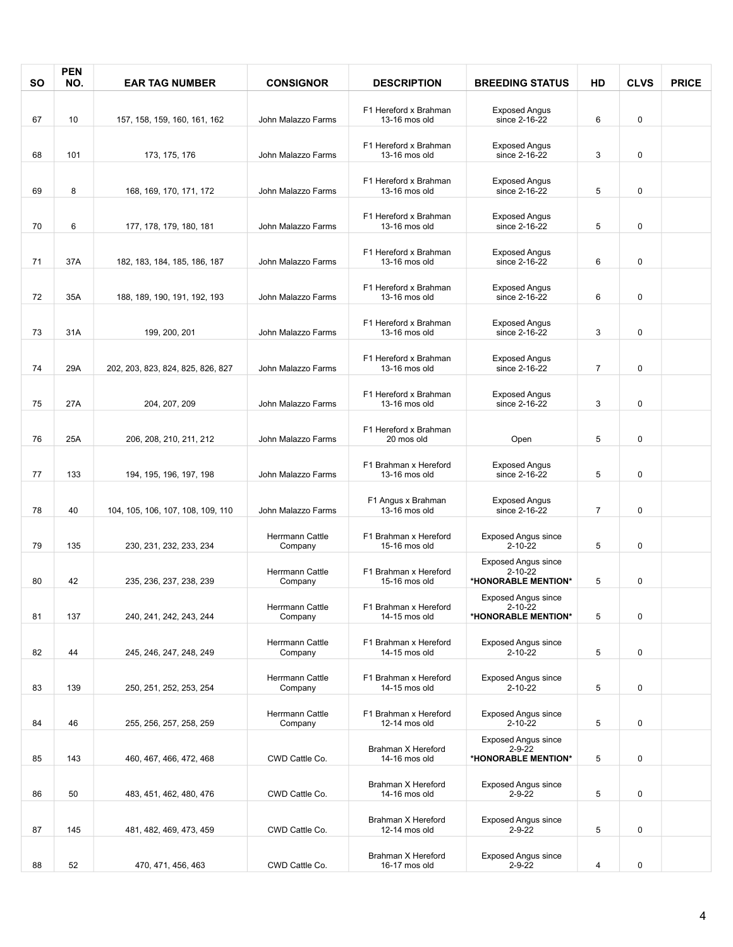| SΟ | <b>PEN</b><br>NO. | <b>EAR TAG NUMBER</b>             | <b>CONSIGNOR</b>           | <b>DESCRIPTION</b>                     | <b>BREEDING STATUS</b>                                            | HD             | <b>CLVS</b> | <b>PRICE</b> |
|----|-------------------|-----------------------------------|----------------------------|----------------------------------------|-------------------------------------------------------------------|----------------|-------------|--------------|
| 67 | 10                | 157, 158, 159, 160, 161, 162      | John Malazzo Farms         | F1 Hereford x Brahman<br>13-16 mos old | <b>Exposed Angus</b><br>since 2-16-22                             | 6              | 0           |              |
| 68 | 101               | 173, 175, 176                     | John Malazzo Farms         | F1 Hereford x Brahman<br>13-16 mos old | <b>Exposed Angus</b><br>since 2-16-22                             | 3              | 0           |              |
| 69 | 8                 |                                   | John Malazzo Farms         | F1 Hereford x Brahman<br>13-16 mos old | <b>Exposed Angus</b><br>since 2-16-22                             |                | 0           |              |
|    |                   | 168, 169, 170, 171, 172           |                            | F1 Hereford x Brahman                  | <b>Exposed Angus</b>                                              | 5              |             |              |
| 70 | 6                 | 177, 178, 179, 180, 181           | John Malazzo Farms         | 13-16 mos old<br>F1 Hereford x Brahman | since 2-16-22<br><b>Exposed Angus</b>                             | 5              | 0           |              |
| 71 | 37A               | 182, 183, 184, 185, 186, 187      | John Malazzo Farms         | 13-16 mos old<br>F1 Hereford x Brahman | since 2-16-22<br><b>Exposed Angus</b>                             | 6              | 0           |              |
| 72 | 35A               | 188, 189, 190, 191, 192, 193      | John Malazzo Farms         | 13-16 mos old                          | since 2-16-22                                                     | 6              | 0           |              |
| 73 | 31A               | 199, 200, 201                     | John Malazzo Farms         | F1 Hereford x Brahman<br>13-16 mos old | <b>Exposed Angus</b><br>since 2-16-22                             | 3              | 0           |              |
| 74 | 29A               | 202, 203, 823, 824, 825, 826, 827 | John Malazzo Farms         | F1 Hereford x Brahman<br>13-16 mos old | <b>Exposed Angus</b><br>since 2-16-22                             | $\overline{7}$ | 0           |              |
| 75 | 27A               | 204, 207, 209                     | John Malazzo Farms         | F1 Hereford x Brahman<br>13-16 mos old | <b>Exposed Angus</b><br>since 2-16-22                             | 3              | 0           |              |
| 76 | 25A               | 206, 208, 210, 211, 212           | John Malazzo Farms         | F1 Hereford x Brahman<br>20 mos old    | Open                                                              | 5              | 0           |              |
| 77 | 133               | 194, 195, 196, 197, 198           | John Malazzo Farms         | F1 Brahman x Hereford<br>13-16 mos old | <b>Exposed Angus</b><br>since 2-16-22                             | 5              | 0           |              |
| 78 | 40                | 104, 105, 106, 107, 108, 109, 110 | John Malazzo Farms         | F1 Angus x Brahman<br>13-16 mos old    | <b>Exposed Angus</b><br>since 2-16-22                             | $\overline{7}$ | 0           |              |
| 79 | 135               | 230, 231, 232, 233, 234           | Herrmann Cattle<br>Company | F1 Brahman x Hereford<br>15-16 mos old | <b>Exposed Angus since</b><br>$2 - 10 - 22$                       | 5              | 0           |              |
|    |                   |                                   | Herrmann Cattle            | F1 Brahman x Hereford                  | <b>Exposed Angus since</b><br>$2 - 10 - 22$                       |                |             |              |
| 80 | 42                | 235, 236, 237, 238, 239           | Company<br>Herrmann Cattle | 15-16 mos old<br>F1 Brahman x Hereford | *HONORABLE MENTION*<br><b>Exposed Angus since</b><br>2-10-22      | 5              | 0           |              |
| 81 | 137               | 240, 241, 242, 243, 244           | Company<br>Herrmann Cattle | 14-15 mos old<br>F1 Brahman x Hereford | *HONORABLE MENTION*<br><b>Exposed Angus since</b>                 | 5              | 0           |              |
| 82 | 44                | 245, 246, 247, 248, 249           | Company                    | 14-15 mos old                          | 2-10-22                                                           | 5              | 0           |              |
| 83 | 139               | 250, 251, 252, 253, 254           | Herrmann Cattle<br>Company | F1 Brahman x Hereford<br>14-15 mos old | Exposed Angus since<br>2-10-22                                    | 5              | 0           |              |
| 84 | 46                | 255, 256, 257, 258, 259           | Herrmann Cattle<br>Company | F1 Brahman x Hereford<br>12-14 mos old | <b>Exposed Angus since</b><br>2-10-22                             | 5              | 0           |              |
| 85 | 143               | 460, 467, 466, 472, 468           | CWD Cattle Co.             | Brahman X Hereford<br>14-16 mos old    | <b>Exposed Angus since</b><br>$2 - 9 - 22$<br>*HONORABLE MENTION* | 5              | 0           |              |
| 86 | 50                | 483, 451, 462, 480, 476           | CWD Cattle Co.             | Brahman X Hereford<br>14-16 mos old    | <b>Exposed Angus since</b><br>$2 - 9 - 22$                        | 5              | 0           |              |
| 87 | 145               | 481, 482, 469, 473, 459           | CWD Cattle Co.             | Brahman X Hereford<br>12-14 mos old    | <b>Exposed Angus since</b><br>$2 - 9 - 22$                        | 5              | 0           |              |
| 88 | 52                | 470, 471, 456, 463                | CWD Cattle Co.             | Brahman X Hereford<br>16-17 mos old    | <b>Exposed Angus since</b><br>$2 - 9 - 22$                        | 4              | 0           |              |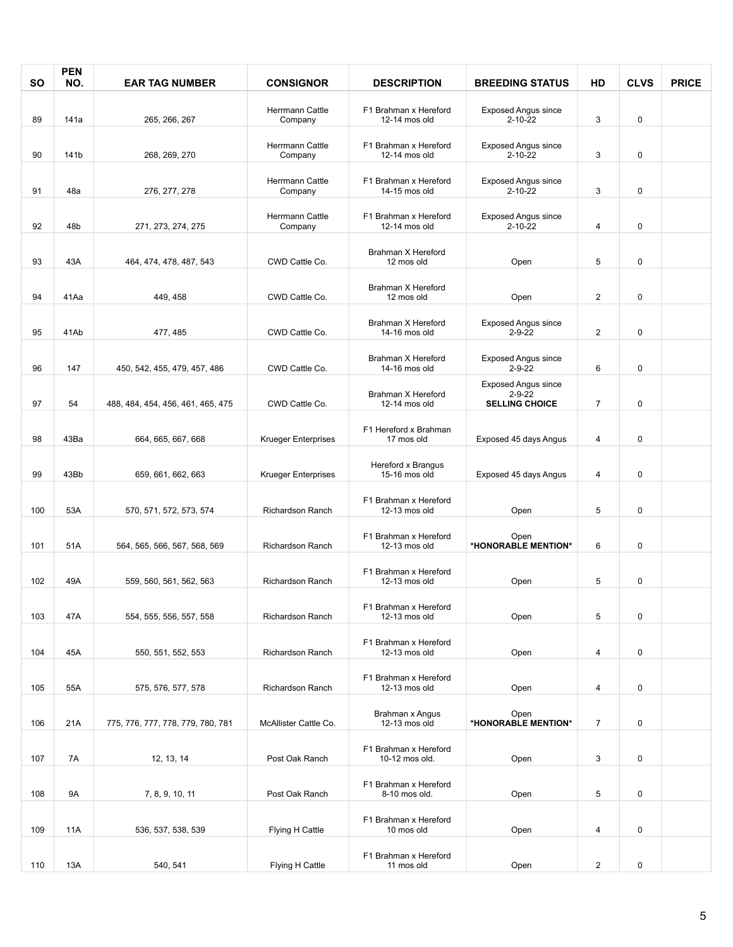| SΟ  | <b>PEN</b><br>NO. | <b>EAR TAG NUMBER</b>             | <b>CONSIGNOR</b>                  | <b>DESCRIPTION</b>                      | <b>BREEDING STATUS</b>                                              | HD                      | <b>CLVS</b> | <b>PRICE</b> |
|-----|-------------------|-----------------------------------|-----------------------------------|-----------------------------------------|---------------------------------------------------------------------|-------------------------|-------------|--------------|
|     |                   |                                   | Herrmann Cattle                   | F1 Brahman x Hereford                   | <b>Exposed Angus since</b>                                          |                         |             |              |
| 89  | 141a              | 265, 266, 267                     | Company                           | 12-14 mos old                           | $2 - 10 - 22$                                                       | 3                       | 0           |              |
| 90  | 141b              | 268, 269, 270                     | Herrmann Cattle<br>Company        | F1 Brahman x Hereford<br>12-14 mos old  | <b>Exposed Angus since</b><br>$2 - 10 - 22$                         | 3                       | 0           |              |
| 91  | 48a               | 276, 277, 278                     | <b>Herrmann Cattle</b><br>Company | F1 Brahman x Hereford<br>14-15 mos old  | <b>Exposed Angus since</b><br>$2 - 10 - 22$                         | 3                       | 0           |              |
| 92  | 48b               | 271, 273, 274, 275                | Herrmann Cattle<br>Company        | F1 Brahman x Hereford<br>12-14 mos old  | <b>Exposed Angus since</b><br>$2 - 10 - 22$                         | 4                       | 0           |              |
| 93  | 43A               | 464, 474, 478, 487, 543           | CWD Cattle Co.                    | Brahman X Hereford<br>12 mos old        | Open                                                                | 5                       | 0           |              |
| 94  | 41Aa              | 449, 458                          | CWD Cattle Co.                    | Brahman X Hereford<br>12 mos old        | Open                                                                | $\overline{2}$          | 0           |              |
| 95  | 41Ab              | 477, 485                          | CWD Cattle Co.                    | Brahman X Hereford<br>14-16 mos old     | <b>Exposed Angus since</b><br>$2 - 9 - 22$                          | $\overline{\mathbf{c}}$ | 0           |              |
| 96  | 147               | 450, 542, 455, 479, 457, 486      | CWD Cattle Co.                    | Brahman X Hereford<br>14-16 mos old     | <b>Exposed Angus since</b><br>$2 - 9 - 22$                          | 6                       | 0           |              |
| 97  | 54                | 488, 484, 454, 456, 461, 465, 475 | CWD Cattle Co.                    | Brahman X Hereford<br>12-14 mos old     | <b>Exposed Angus since</b><br>$2 - 9 - 22$<br><b>SELLING CHOICE</b> | $\overline{7}$          | 0           |              |
| 98  | 43Ba              | 664, 665, 667, 668                | <b>Krueger Enterprises</b>        | F1 Hereford x Brahman<br>17 mos old     | Exposed 45 days Angus                                               | 4                       | 0           |              |
|     |                   |                                   |                                   | Hereford x Brangus                      |                                                                     |                         |             |              |
| 99  | 43Bb              | 659, 661, 662, 663                | <b>Krueger Enterprises</b>        | 15-16 mos old                           | Exposed 45 days Angus                                               | 4                       | 0           |              |
| 100 | 53A               | 570, 571, 572, 573, 574           | Richardson Ranch                  | F1 Brahman x Hereford<br>12-13 mos old  | Open                                                                | 5                       | 0           |              |
|     |                   |                                   |                                   | F1 Brahman x Hereford                   | Open                                                                |                         |             |              |
| 101 | 51A               | 564, 565, 566, 567, 568, 569      | Richardson Ranch                  | 12-13 mos old                           | *HONORABLE MENTION*                                                 | 6                       | 0           |              |
| 102 | 49A               | 559, 560, 561, 562, 563           | Richardson Ranch                  | F1 Brahman x Hereford<br>12-13 mos old  | Open                                                                | 5                       | 0           |              |
| 103 | 47A               | 554, 555, 556, 557, 558           | Richardson Ranch                  | F1 Brahman x Hereford<br>12-13 mos old  | Open                                                                | 5                       | 0           |              |
| 104 | 45A               | 550, 551, 552, 553                | <b>Richardson Ranch</b>           | F1 Brahman x Hereford<br>12-13 mos old  | Open                                                                | $\overline{4}$          | 0           |              |
| 105 | 55A               | 575, 576, 577, 578                | Richardson Ranch                  | F1 Brahman x Hereford<br>12-13 mos old  | Open                                                                | 4                       | 0           |              |
| 106 | 21A               | 775, 776, 777, 778, 779, 780, 781 | McAllister Cattle Co.             | Brahman x Angus<br>12-13 mos old        | Open<br>*HONORABLE MENTION*                                         | $\overline{7}$          | 0           |              |
| 107 | 7A                | 12, 13, 14                        | Post Oak Ranch                    | F1 Brahman x Hereford<br>10-12 mos old. | Open                                                                | 3                       | 0           |              |
| 108 | 9A                | 7, 8, 9, 10, 11                   | Post Oak Ranch                    | F1 Brahman x Hereford<br>8-10 mos old.  | Open                                                                | 5                       | 0           |              |
| 109 | 11A               | 536, 537, 538, 539                | Flying H Cattle                   | F1 Brahman x Hereford<br>10 mos old     | Open                                                                | 4                       | 0           |              |
|     |                   |                                   |                                   | F1 Brahman x Hereford                   |                                                                     |                         |             |              |
| 110 | 13A               | 540, 541                          | Flying H Cattle                   | 11 mos old                              | Open                                                                | $\mathbf{2}$            | 0           |              |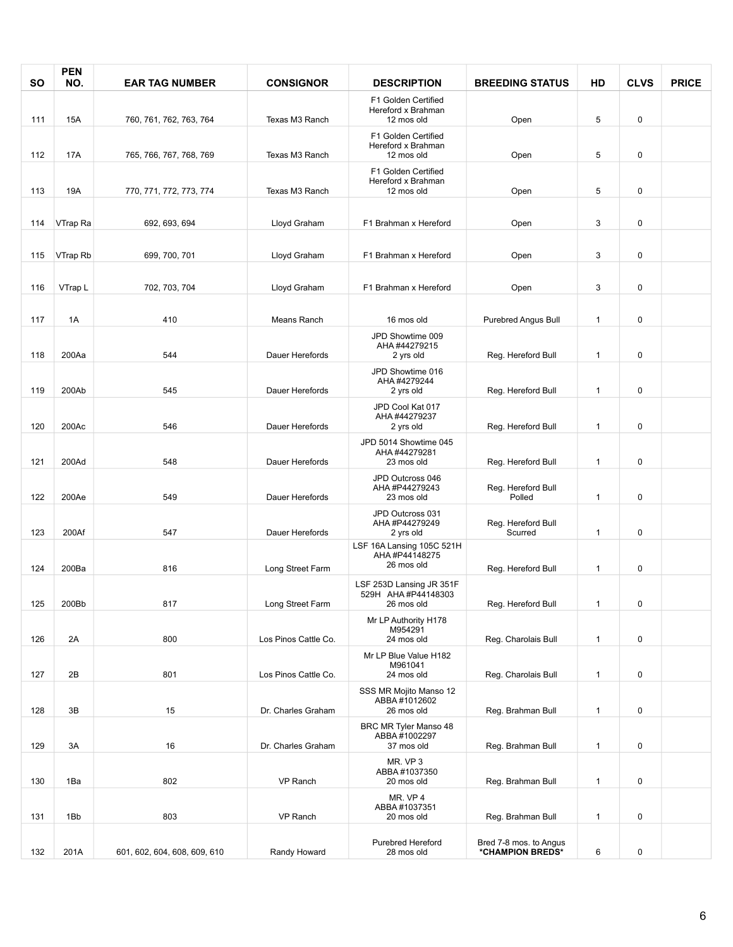| <b>SO</b> | <b>PEN</b><br>NO. | <b>EAR TAG NUMBER</b>        | <b>CONSIGNOR</b>     | <b>DESCRIPTION</b>                                            | <b>BREEDING STATUS</b>                     | HD           | <b>CLVS</b> | <b>PRICE</b> |
|-----------|-------------------|------------------------------|----------------------|---------------------------------------------------------------|--------------------------------------------|--------------|-------------|--------------|
|           |                   |                              |                      | F1 Golden Certified<br>Hereford x Brahman                     |                                            |              |             |              |
| 111       | 15A               | 760, 761, 762, 763, 764      | Texas M3 Ranch       | 12 mos old                                                    | Open                                       | 5            | 0           |              |
| 112       | <b>17A</b>        | 765, 766, 767, 768, 769      | Texas M3 Ranch       | F1 Golden Certified<br>Hereford x Brahman<br>12 mos old       | Open                                       | 5            | 0           |              |
| 113       | 19A               | 770, 771, 772, 773, 774      | Texas M3 Ranch       | F1 Golden Certified<br>Hereford x Brahman<br>12 mos old       | Open                                       | 5            | 0           |              |
| 114       | VTrap Ra          | 692, 693, 694                | Lloyd Graham         | F1 Brahman x Hereford                                         | Open                                       | 3            | 0           |              |
| 115       | VTrap Rb          | 699, 700, 701                | Lloyd Graham         | F1 Brahman x Hereford                                         | Open                                       | 3            | 0           |              |
| 116       | VTrap L           | 702, 703, 704                | Lloyd Graham         | F1 Brahman x Hereford                                         | Open                                       | 3            | 0           |              |
| 117       | 1A                | 410                          | Means Ranch          | 16 mos old                                                    | Purebred Angus Bull                        | $\mathbf{1}$ | 0           |              |
|           |                   |                              |                      | JPD Showtime 009<br>AHA #44279215                             |                                            |              |             |              |
| 118       | 200Aa             | 544                          | Dauer Herefords      | 2 yrs old                                                     | Reg. Hereford Bull                         | $\mathbf{1}$ | 0           |              |
| 119       | 200Ab             | 545                          | Dauer Herefords      | JPD Showtime 016<br>AHA #4279244<br>2 yrs old                 | Reg. Hereford Bull                         | $\mathbf{1}$ | 0           |              |
| 120       | 200Ac             | 546                          | Dauer Herefords      | JPD Cool Kat 017<br>AHA #44279237<br>2 yrs old                | Reg. Hereford Bull                         | $\mathbf{1}$ | 0           |              |
| 121       | 200Ad             | 548                          | Dauer Herefords      | JPD 5014 Showtime 045<br>AHA #44279281<br>23 mos old          | Reg. Hereford Bull                         | $\mathbf{1}$ | 0           |              |
| 122       | 200Ae             | 549                          | Dauer Herefords      | JPD Outcross 046<br>AHA #P44279243<br>23 mos old              | Reg. Hereford Bull<br>Polled               | $\mathbf{1}$ | 0           |              |
| 123       | 200Af             | 547                          | Dauer Herefords      | JPD Outcross 031<br>AHA #P44279249<br>2 yrs old               | Reg. Hereford Bull<br>Scurred              | $\mathbf{1}$ | 0           |              |
|           |                   |                              |                      | LSF 16A Lansing 105C 521H<br>AHA #P44148275<br>26 mos old     |                                            |              |             |              |
| 124       | 200Ba             | 816                          | Long Street Farm     |                                                               | Reg. Hereford Bull                         | $\mathbf{1}$ | 0           |              |
| 125       | 200Bb             | 817                          | Long Street Farm     | LSF 253D Lansing JR 351F<br>529H AHA #P44148303<br>26 mos old | Reg. Hereford Bull                         | $\mathbf{1}$ | 0           |              |
| 126       | 2A                | 800                          | Los Pinos Cattle Co. | Mr LP Authority H178<br>M954291<br>24 mos old                 | Reg. Charolais Bull                        | $\mathbf{1}$ | 0           |              |
|           |                   |                              |                      | Mr LP Blue Value H182                                         |                                            |              |             |              |
| 127       | 2B                | 801                          | Los Pinos Cattle Co. | M961041<br>24 mos old                                         | Reg. Charolais Bull                        | $\mathbf{1}$ | 0           |              |
| 128       | 3B                | 15                           | Dr. Charles Graham   | SSS MR Mojito Manso 12<br>ABBA #1012602<br>26 mos old         | Reg. Brahman Bull                          | $\mathbf{1}$ | 0           |              |
| 129       | 3A                | 16                           | Dr. Charles Graham   | BRC MR Tyler Manso 48<br>ABBA #1002297<br>37 mos old          | Reg. Brahman Bull                          | $\mathbf{1}$ | 0           |              |
| 130       | 1Ba               | 802                          | VP Ranch             | MR. VP3<br>ABBA #1037350<br>20 mos old                        | Reg. Brahman Bull                          | $\mathbf{1}$ | 0           |              |
| 131       | 1Bb               | 803                          | VP Ranch             | MR. VP 4<br>ABBA #1037351<br>20 mos old                       | Reg. Brahman Bull                          | $\mathbf{1}$ | 0           |              |
| 132       | 201A              | 601, 602, 604, 608, 609, 610 | Randy Howard         | <b>Purebred Hereford</b><br>28 mos old                        | Bred 7-8 mos. to Angus<br>*CHAMPION BREDS* | 6            | 0           |              |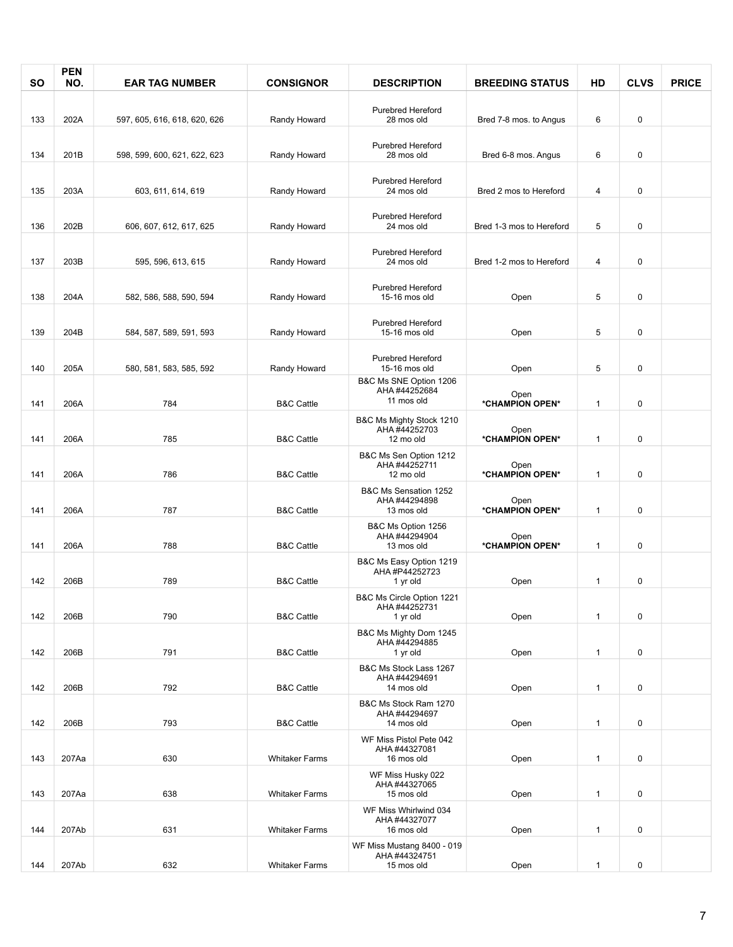| SΟ  | <b>PEN</b><br>NO. | <b>EAR TAG NUMBER</b>        | <b>CONSIGNOR</b>      | <b>DESCRIPTION</b>                                    | <b>BREEDING STATUS</b>   | HD           | <b>CLVS</b> | <b>PRICE</b> |
|-----|-------------------|------------------------------|-----------------------|-------------------------------------------------------|--------------------------|--------------|-------------|--------------|
|     |                   |                              |                       |                                                       |                          |              |             |              |
|     |                   |                              |                       | <b>Purebred Hereford</b>                              |                          |              |             |              |
| 133 | 202A              | 597, 605, 616, 618, 620, 626 | Randy Howard          | 28 mos old                                            | Bred 7-8 mos. to Angus   | 6            | 0           |              |
|     |                   |                              |                       | <b>Purebred Hereford</b>                              |                          |              |             |              |
| 134 | 201B              | 598, 599, 600, 621, 622, 623 | Randy Howard          | 28 mos old                                            | Bred 6-8 mos. Angus      | 6            | 0           |              |
|     |                   |                              |                       |                                                       |                          |              |             |              |
| 135 | 203A              | 603, 611, 614, 619           | Randy Howard          | <b>Purebred Hereford</b><br>24 mos old                | Bred 2 mos to Hereford   | 4            | 0           |              |
|     |                   |                              |                       |                                                       |                          |              |             |              |
| 136 | 202B              | 606, 607, 612, 617, 625      | Randy Howard          | <b>Purebred Hereford</b><br>24 mos old                | Bred 1-3 mos to Hereford | 5            | 0           |              |
| 137 | 203B              | 595, 596, 613, 615           | Randy Howard          | <b>Purebred Hereford</b><br>24 mos old                | Bred 1-2 mos to Hereford | 4            | 0           |              |
| 138 | 204A              | 582, 586, 588, 590, 594      | Randy Howard          | <b>Purebred Hereford</b><br>15-16 mos old             | Open                     | 5            | 0           |              |
| 139 | 204B              | 584, 587, 589, 591, 593      | Randy Howard          | <b>Purebred Hereford</b><br>15-16 mos old             | Open                     | 5            | 0           |              |
|     |                   |                              |                       |                                                       |                          |              |             |              |
| 140 | 205A              | 580, 581, 583, 585, 592      | Randy Howard          | <b>Purebred Hereford</b><br>15-16 mos old             | Open                     | 5            | 0           |              |
| 141 | 206A              | 784                          | <b>B&amp;C Cattle</b> | B&C Ms SNE Option 1206<br>AHA #44252684<br>11 mos old | Open<br>*CHAMPION OPEN*  | $\mathbf{1}$ | 0           |              |
|     |                   |                              |                       | B&C Ms Mighty Stock 1210                              |                          |              |             |              |
| 141 | 206A              | 785                          | <b>B&amp;C Cattle</b> | AHA #44252703<br>12 mo old                            | Open<br>*CHAMPION OPEN*  | 1            | 0           |              |
|     |                   |                              |                       | B&C Ms Sen Option 1212                                |                          |              |             |              |
|     |                   |                              |                       | AHA #44252711                                         | Open                     |              |             |              |
| 141 | 206A              | 786                          | <b>B&amp;C Cattle</b> | 12 mo old                                             | *CHAMPION OPEN*          | 1            | 0           |              |
|     |                   |                              |                       | B&C Ms Sensation 1252<br>AHA #44294898                | Open                     |              |             |              |
| 141 | 206A              | 787                          | <b>B&amp;C Cattle</b> | 13 mos old                                            | *CHAMPION OPEN*          | $\mathbf{1}$ | 0           |              |
|     |                   |                              |                       | B&C Ms Option 1256<br>AHA #44294904                   | Open                     |              |             |              |
| 141 | 206A              | 788                          | <b>B&amp;C Cattle</b> | 13 mos old                                            | *CHAMPION OPEN*          | 1            | 0           |              |
|     |                   |                              |                       | B&C Ms Easy Option 1219                               |                          |              |             |              |
| 142 | 206B              | 789                          | <b>B&amp;C Cattle</b> | AHA #P44252723<br>1 yr old                            | Open                     | 1            | 0           |              |
|     |                   |                              |                       | B&C Ms Circle Option 1221                             |                          |              |             |              |
| 142 | 206B              | 790                          | <b>B&amp;C Cattle</b> | AHA #44252731<br>1 yr old                             | Open                     | $\mathbf{1}$ | 0           |              |
|     |                   |                              |                       | B&C Ms Mighty Dom 1245                                |                          |              |             |              |
|     |                   |                              |                       | AHA #44294885                                         |                          |              |             |              |
| 142 | 206B              | 791                          | <b>B&amp;C Cattle</b> | 1 yr old<br>B&C Ms Stock Lass 1267                    | Open                     | $\mathbf{1}$ | 0           |              |
|     |                   |                              |                       | AHA #44294691                                         |                          |              |             |              |
| 142 | 206B              | 792                          | <b>B&amp;C Cattle</b> | 14 mos old                                            | Open                     | $\mathbf{1}$ | 0           |              |
| 142 | 206B              | 793                          | <b>B&amp;C Cattle</b> | B&C Ms Stock Ram 1270<br>AHA #44294697<br>14 mos old  | Open                     | $\mathbf{1}$ | 0           |              |
|     |                   |                              |                       | WF Miss Pistol Pete 042                               |                          |              |             |              |
| 143 | 207Aa             | 630                          | <b>Whitaker Farms</b> | AHA #44327081<br>16 mos old                           | Open                     | $\mathbf{1}$ | 0           |              |
|     |                   |                              |                       | WF Miss Husky 022                                     |                          |              |             |              |
|     |                   |                              |                       | AHA #44327065                                         |                          |              |             |              |
| 143 | 207Aa             | 638                          | <b>Whitaker Farms</b> | 15 mos old                                            | Open                     | $\mathbf{1}$ | 0           |              |
|     |                   |                              |                       | WF Miss Whirlwind 034<br>AHA #44327077                |                          |              |             |              |
| 144 | 207Ab             | 631                          | <b>Whitaker Farms</b> | 16 mos old                                            | Open                     | 1            | 0           |              |
|     |                   |                              |                       | WF Miss Mustang 8400 - 019<br>AHA #44324751           |                          |              |             |              |
| 144 | 207Ab             | 632                          | <b>Whitaker Farms</b> | 15 mos old                                            | Open                     | $\mathbf{1}$ | 0           |              |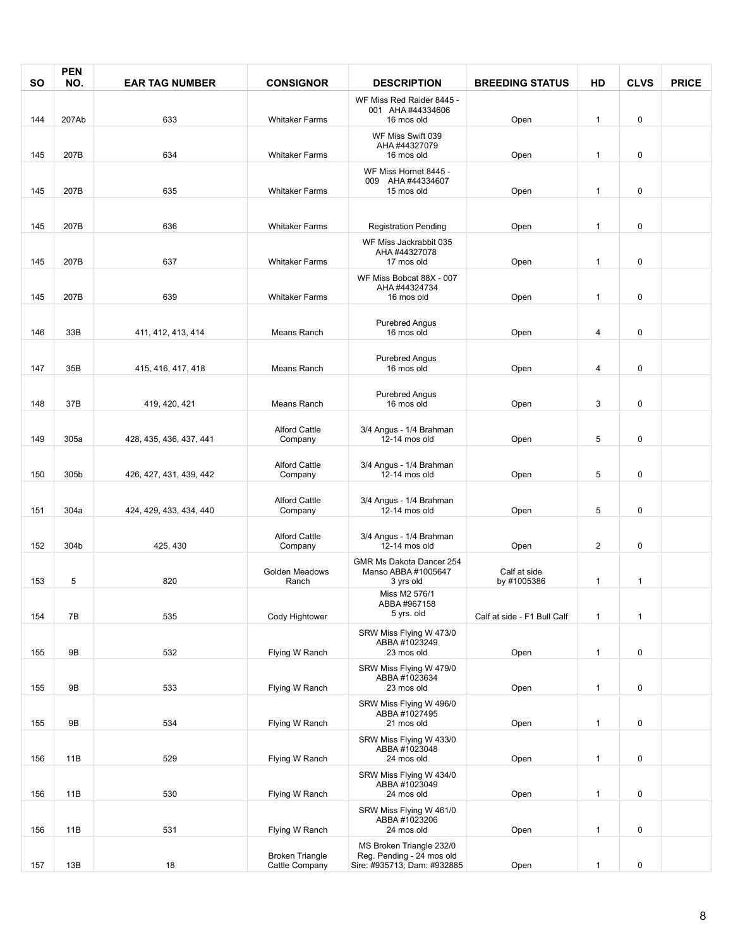| <b>SO</b> | <b>PEN</b><br>NO. | <b>EAR TAG NUMBER</b>   | <b>CONSIGNOR</b>                | <b>DESCRIPTION</b>                                           | <b>BREEDING STATUS</b>      | HD                      | <b>CLVS</b>  | <b>PRICE</b> |
|-----------|-------------------|-------------------------|---------------------------------|--------------------------------------------------------------|-----------------------------|-------------------------|--------------|--------------|
|           |                   |                         |                                 | WF Miss Red Raider 8445 -<br>001 AHA #44334606               |                             |                         |              |              |
| 144       | 207Ab             | 633                     | <b>Whitaker Farms</b>           | 16 mos old                                                   | Open                        | $\mathbf{1}$            | 0            |              |
| 145       | 207B              | 634                     | <b>Whitaker Farms</b>           | WF Miss Swift 039<br>AHA #44327079<br>16 mos old             | Open                        | $\mathbf{1}$            | 0            |              |
|           |                   |                         |                                 | WF Miss Hornet 8445 -                                        |                             |                         |              |              |
| 145       | 207B              | 635                     | <b>Whitaker Farms</b>           | 009 AHA #44334607<br>15 mos old                              | Open                        | $\mathbf{1}$            | 0            |              |
| 145       | 207B              | 636                     | <b>Whitaker Farms</b>           | <b>Registration Pending</b>                                  | Open                        | $\mathbf{1}$            | 0            |              |
| 145       | 207B              | 637                     | <b>Whitaker Farms</b>           | WF Miss Jackrabbit 035<br>AHA #44327078<br>17 mos old        | Open                        | $\mathbf{1}$            | 0            |              |
| 145       | 207B              | 639                     | <b>Whitaker Farms</b>           | WF Miss Bobcat 88X - 007<br>AHA #44324734<br>16 mos old      | Open                        | $\mathbf{1}$            | 0            |              |
| 146       | 33B               | 411, 412, 413, 414      | Means Ranch                     | <b>Purebred Angus</b><br>16 mos old                          | Open                        | 4                       | 0            |              |
| 147       | 35B               | 415, 416, 417, 418      | Means Ranch                     | <b>Purebred Angus</b><br>16 mos old                          | Open                        | $\overline{\mathbf{4}}$ | 0            |              |
|           |                   |                         |                                 |                                                              |                             |                         |              |              |
| 148       | 37B               | 419, 420, 421           | Means Ranch                     | <b>Purebred Angus</b><br>16 mos old                          | Open                        | 3                       | 0            |              |
| 149       | 305a              | 428, 435, 436, 437, 441 | <b>Alford Cattle</b><br>Company | 3/4 Angus - 1/4 Brahman<br>12-14 mos old                     | Open                        | 5                       | 0            |              |
|           |                   |                         |                                 |                                                              |                             |                         |              |              |
| 150       | 305b              | 426, 427, 431, 439, 442 | <b>Alford Cattle</b><br>Company | 3/4 Angus - 1/4 Brahman<br>12-14 mos old                     | Open                        | 5                       | 0            |              |
| 151       | 304a              | 424, 429, 433, 434, 440 | <b>Alford Cattle</b><br>Company | 3/4 Angus - 1/4 Brahman<br>12-14 mos old                     | Open                        | 5                       | 0            |              |
|           |                   |                         |                                 |                                                              |                             |                         |              |              |
| 152       | 304b              | 425, 430                | <b>Alford Cattle</b><br>Company | 3/4 Angus - 1/4 Brahman<br>12-14 mos old                     | Open                        | $\overline{2}$          | 0            |              |
| 153       | 5                 | 820                     | Golden Meadows<br>Ranch         | GMR Ms Dakota Dancer 254<br>Manso ABBA #1005647<br>3 yrs old | Calf at side<br>by #1005386 | 1                       | $\mathbf{1}$ |              |
| 154       | 7B                | 535                     | Cody Hightower                  | Miss M2 576/1<br>ABBA #967158<br>5 yrs. old                  | Calf at side - F1 Bull Calf | 1                       | $\mathbf{1}$ |              |
|           |                   |                         |                                 | SRW Miss Flying W 473/0                                      |                             |                         |              |              |
| 155       | 9B                | 532                     | Flying W Ranch                  | ABBA#1023249<br>23 mos old                                   | Open                        | $\mathbf{1}$            | 0            |              |
| 155       | 9B                | 533                     | Flying W Ranch                  | SRW Miss Flying W 479/0<br>ABBA#1023634<br>23 mos old        | Open                        | 1                       | 0            |              |
| 155       | 9B                | 534                     | Flying W Ranch                  | SRW Miss Flying W 496/0<br>ABBA#1027495<br>21 mos old        | Open                        | 1                       | 0            |              |
|           |                   |                         |                                 | SRW Miss Flying W 433/0<br>ABBA#1023048                      |                             |                         |              |              |
| 156       | 11B               | 529                     | Flying W Ranch                  | 24 mos old                                                   | Open                        | $\mathbf{1}$            | 0            |              |
| 156       | 11B               | 530                     | Flying W Ranch                  | SRW Miss Flying W 434/0<br>ABBA#1023049<br>24 mos old        | Open                        | 1                       | 0            |              |
|           |                   |                         |                                 | SRW Miss Flying W 461/0                                      |                             |                         |              |              |
| 156       | 11B               | 531                     | Flying W Ranch                  | ABBA#1023206<br>24 mos old                                   | Open                        | 1                       | 0            |              |
|           |                   |                         | <b>Broken Triangle</b>          | MS Broken Triangle 232/0<br>Reg. Pending - 24 mos old        |                             |                         |              |              |
| 157       | 13B               | 18                      | Cattle Company                  | Sire: #935713; Dam: #932885                                  | Open                        | $\mathbf{1}$            | 0            |              |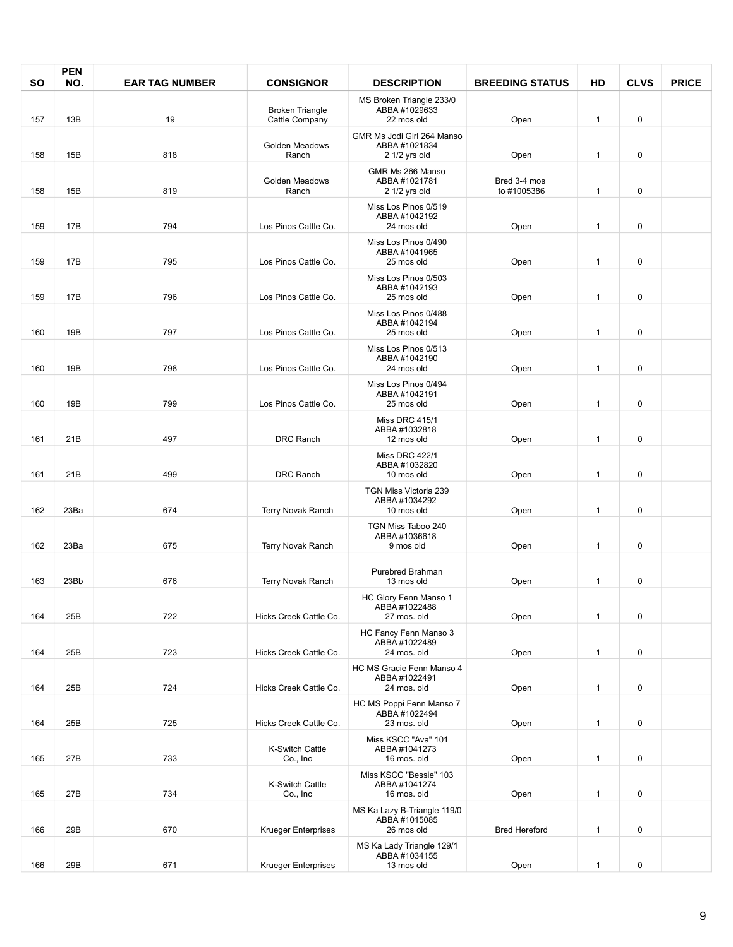| <b>SO</b> | <b>PEN</b><br>NO. | <b>EAR TAG NUMBER</b> | <b>CONSIGNOR</b>             | <b>DESCRIPTION</b>                                        | <b>BREEDING STATUS</b>      | HD           | <b>CLVS</b> | <b>PRICE</b> |
|-----------|-------------------|-----------------------|------------------------------|-----------------------------------------------------------|-----------------------------|--------------|-------------|--------------|
|           |                   |                       | <b>Broken Triangle</b>       | MS Broken Triangle 233/0<br>ABBA#1029633                  |                             |              |             |              |
| 157       | 13B               | 19                    | Cattle Company               | 22 mos old<br>GMR Ms Jodi Girl 264 Manso                  | Open                        | $\mathbf{1}$ | 0           |              |
| 158       | 15B               | 818                   | Golden Meadows<br>Ranch      | ABBA#1021834<br>$21/2$ yrs old                            | Open                        | $\mathbf{1}$ | 0           |              |
| 158       | 15B               | 819                   | Golden Meadows<br>Ranch      | GMR Ms 266 Manso<br>ABBA#1021781<br>2 1/2 yrs old         | Bred 3-4 mos<br>to #1005386 | $\mathbf{1}$ | 0           |              |
| 159       | 17B               | 794                   | Los Pinos Cattle Co.         | Miss Los Pinos 0/519<br>ABBA#1042192<br>24 mos old        | Open                        | $\mathbf{1}$ | 0           |              |
| 159       | <b>17B</b>        | 795                   | Los Pinos Cattle Co.         | Miss Los Pinos 0/490<br>ABBA#1041965<br>25 mos old        | Open                        | $\mathbf{1}$ | 0           |              |
| 159       | <b>17B</b>        | 796                   | Los Pinos Cattle Co.         | Miss Los Pinos 0/503<br>ABBA#1042193<br>25 mos old        | Open                        | $\mathbf{1}$ | 0           |              |
| 160       | 19B               | 797                   | Los Pinos Cattle Co.         | Miss Los Pinos 0/488<br>ABBA#1042194<br>25 mos old        | Open                        | $\mathbf{1}$ | 0           |              |
| 160       | 19B               | 798                   | Los Pinos Cattle Co.         | Miss Los Pinos 0/513<br>ABBA#1042190<br>24 mos old        | Open                        | $\mathbf{1}$ | 0           |              |
| 160       | 19B               | 799                   | Los Pinos Cattle Co.         | Miss Los Pinos 0/494<br>ABBA#1042191<br>25 mos old        | Open                        | $\mathbf{1}$ | 0           |              |
| 161       | 21B               | 497                   | <b>DRC Ranch</b>             | <b>Miss DRC 415/1</b><br>ABBA #1032818<br>12 mos old      | Open                        | $\mathbf{1}$ | 0           |              |
|           |                   |                       |                              | <b>Miss DRC 422/1</b>                                     |                             |              |             |              |
| 161       | 21B               | 499                   | <b>DRC</b> Ranch             | ABBA#1032820<br>10 mos old                                | Open                        | $\mathbf{1}$ | 0           |              |
|           |                   |                       |                              | TGN Miss Victoria 239<br>ABBA #1034292                    |                             |              |             |              |
| 162       | 23Ba              | 674                   | Terry Novak Ranch            | 10 mos old                                                | Open                        | $\mathbf{1}$ | 0           |              |
| 162       | 23Ba              | 675                   | Terry Novak Ranch            | TGN Miss Taboo 240<br>ABBA#1036618<br>9 mos old           | Open                        | $\mathbf{1}$ | 0           |              |
| 163       | 23Bb              | 676                   | Terry Novak Ranch            | Purebred Brahman<br>13 mos old                            | Open                        | $\mathbf{1}$ | 0           |              |
| 164       | 25B               | 722                   | Hicks Creek Cattle Co.       | HC Glory Fenn Manso 1<br>ABBA #1022488<br>27 mos. old     | Open                        | $\mathbf{1}$ | 0           |              |
| 164       | 25B               | 723                   | Hicks Creek Cattle Co.       | HC Fancy Fenn Manso 3<br>ABBA #1022489<br>24 mos. old     | Open                        | $\mathbf{1}$ | 0           |              |
| 164       | 25B               | 724                   | Hicks Creek Cattle Co.       | HC MS Gracie Fenn Manso 4<br>ABBA #1022491<br>24 mos. old | Open                        | $\mathbf{1}$ | 0           |              |
| 164       | 25B               | 725                   | Hicks Creek Cattle Co.       | HC MS Poppi Fenn Manso 7<br>ABBA#1022494<br>23 mos. old   | Open                        | $\mathbf{1}$ | 0           |              |
| 165       | 27B               | 733                   | K-Switch Cattle<br>Co., Inc  | Miss KSCC "Ava" 101<br>ABBA #1041273<br>16 mos. old       | Open                        | $\mathbf{1}$ | 0           |              |
| 165       | 27B               | 734                   | K-Switch Cattle<br>Co., Inc. | Miss KSCC "Bessie" 103<br>ABBA #1041274<br>16 mos. old    | Open                        | $\mathbf{1}$ | 0           |              |
| 166       | 29B               | 670                   | <b>Krueger Enterprises</b>   | MS Ka Lazy B-Triangle 119/0<br>ABBA#1015085<br>26 mos old | <b>Bred Hereford</b>        | $\mathbf{1}$ | 0           |              |
|           |                   |                       |                              | MS Ka Lady Triangle 129/1                                 |                             |              |             |              |
| 166       | 29B               | 671                   | <b>Krueger Enterprises</b>   | ABBA#1034155<br>13 mos old                                | Open                        | $\mathbf{1}$ | 0           |              |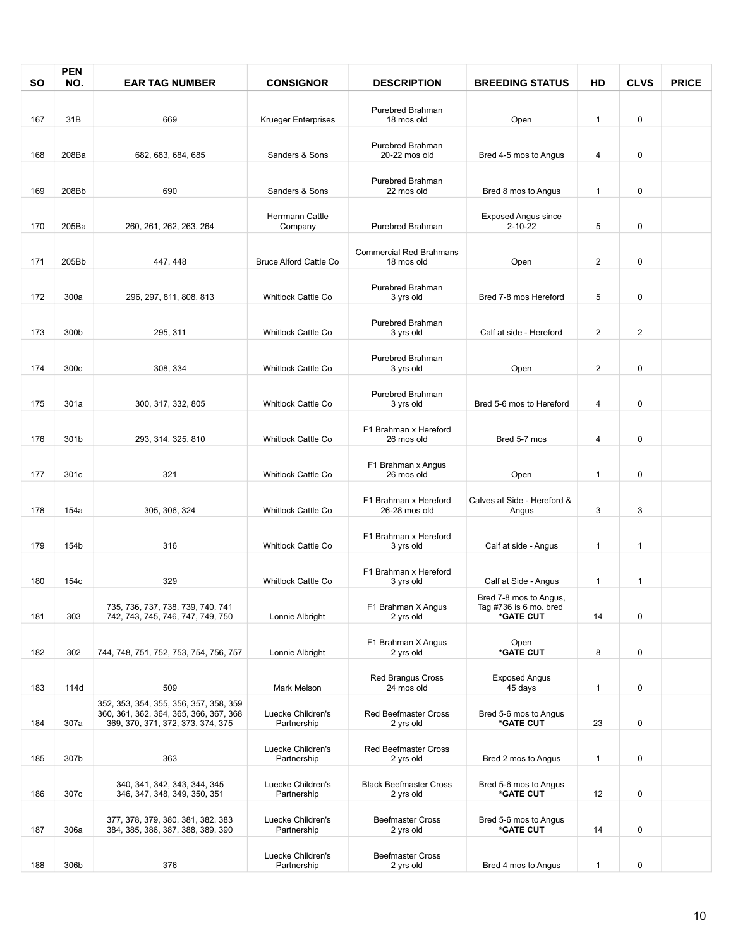| <b>SO</b> | <b>PEN</b><br>NO. | <b>EAR TAG NUMBER</b>                                                                   | <b>CONSIGNOR</b>                 | <b>DESCRIPTION</b>                           | <b>BREEDING STATUS</b>                                        | HD             | <b>CLVS</b>  | <b>PRICE</b> |
|-----------|-------------------|-----------------------------------------------------------------------------------------|----------------------------------|----------------------------------------------|---------------------------------------------------------------|----------------|--------------|--------------|
| 167       | 31B               | 669                                                                                     | <b>Krueger Enterprises</b>       | <b>Purebred Brahman</b><br>18 mos old        | Open                                                          | $\mathbf{1}$   | 0            |              |
|           |                   |                                                                                         |                                  | <b>Purebred Brahman</b>                      |                                                               |                |              |              |
| 168       | 208Ba             | 682, 683, 684, 685                                                                      | Sanders & Sons                   | 20-22 mos old<br><b>Purebred Brahman</b>     | Bred 4-5 mos to Angus                                         | 4              | 0            |              |
| 169       | 208Bb             | 690                                                                                     | Sanders & Sons                   | 22 mos old                                   | Bred 8 mos to Angus                                           | $\mathbf{1}$   | 0            |              |
| 170       | 205Ba             | 260, 261, 262, 263, 264                                                                 | Herrmann Cattle<br>Company       | Purebred Brahman                             | <b>Exposed Angus since</b><br>$2 - 10 - 22$                   | 5              | 0            |              |
| 171       | 205Bb             | 447, 448                                                                                | <b>Bruce Alford Cattle Co</b>    | <b>Commercial Red Brahmans</b><br>18 mos old | Open                                                          | $\overline{c}$ | 0            |              |
| 172       | 300a              | 296, 297, 811, 808, 813                                                                 | Whitlock Cattle Co               | Purebred Brahman<br>3 yrs old                | Bred 7-8 mos Hereford                                         | 5              | 0            |              |
| 173       | 300b              | 295, 311                                                                                | <b>Whitlock Cattle Co</b>        | Purebred Brahman<br>3 yrs old                | Calf at side - Hereford                                       | $\overline{2}$ | $\mathbf{2}$ |              |
| 174       | 300c              | 308, 334                                                                                | <b>Whitlock Cattle Co</b>        | Purebred Brahman<br>3 yrs old                | Open                                                          | $\sqrt{2}$     | 0            |              |
| 175       | 301a              | 300, 317, 332, 805                                                                      | <b>Whitlock Cattle Co</b>        | Purebred Brahman<br>3 yrs old                | Bred 5-6 mos to Hereford                                      | 4              | 0            |              |
| 176       | 301b              | 293, 314, 325, 810                                                                      | <b>Whitlock Cattle Co</b>        | F1 Brahman x Hereford<br>26 mos old          | Bred 5-7 mos                                                  | 4              | 0            |              |
| 177       | 301c              | 321                                                                                     | <b>Whitlock Cattle Co</b>        | F1 Brahman x Angus<br>26 mos old             | Open                                                          | $\mathbf{1}$   | 0            |              |
| 178       | 154a              | 305, 306, 324                                                                           | <b>Whitlock Cattle Co</b>        | F1 Brahman x Hereford<br>26-28 mos old       | Calves at Side - Hereford &<br>Angus                          | 3              | 3            |              |
|           |                   |                                                                                         |                                  | F1 Brahman x Hereford                        |                                                               |                |              |              |
| 179       | 154b              | 316                                                                                     | <b>Whitlock Cattle Co</b>        | 3 yrs old                                    | Calf at side - Angus                                          | $\mathbf{1}$   | $\mathbf{1}$ |              |
| 180       | 154c              | 329                                                                                     | <b>Whitlock Cattle Co</b>        | F1 Brahman x Hereford<br>3 yrs old           | Calf at Side - Angus                                          | 1              | $\mathbf{1}$ |              |
| 181       | 303               | 735, 736, 737, 738, 739, 740, 741<br>742, 743, 745, 746, 747, 749, 750                  | Lonnie Albright                  | F1 Brahman X Angus<br>2 yrs old              | Bred 7-8 mos to Angus,<br>Tag #736 is 6 mo. bred<br>*GATE CUT | 14             | 0            |              |
| 182       | 302               | 744, 748, 751, 752, 753, 754, 756, 757                                                  | Lonnie Albright                  | F1 Brahman X Angus<br>2 yrs old              | Open<br>*GATE CUT                                             | 8              | 0            |              |
|           |                   |                                                                                         |                                  | Red Brangus Cross                            | <b>Exposed Angus</b>                                          |                |              |              |
| 183       | 114d              | 509<br>352, 353, 354, 355, 356, 357, 358, 359<br>360, 361, 362, 364, 365, 366, 367, 368 | Mark Melson<br>Luecke Children's | 24 mos old<br>Red Beefmaster Cross           | 45 days<br>Bred 5-6 mos to Angus                              | $\mathbf{1}$   | 0            |              |
| 184       | 307a              | 369, 370, 371, 372, 373, 374, 375                                                       | Partnership                      | 2 yrs old                                    | *GATE CUT                                                     | 23             | 0            |              |
| 185       | 307b              | 363                                                                                     | Luecke Children's<br>Partnership | <b>Red Beefmaster Cross</b><br>2 yrs old     | Bred 2 mos to Angus                                           | $\mathbf{1}$   | 0            |              |
| 186       | 307c              | 340, 341, 342, 343, 344, 345<br>346, 347, 348, 349, 350, 351                            | Luecke Children's<br>Partnership | <b>Black Beefmaster Cross</b><br>2 yrs old   | Bred 5-6 mos to Angus<br>*GATE CUT                            | 12             | 0            |              |
| 187       | 306a              | 377, 378, 379, 380, 381, 382, 383<br>384, 385, 386, 387, 388, 389, 390                  | Luecke Children's<br>Partnership | <b>Beefmaster Cross</b><br>2 yrs old         | Bred 5-6 mos to Angus<br>*GATE CUT                            | 14             | 0            |              |
| 188       | 306b              | 376                                                                                     | Luecke Children's<br>Partnership | <b>Beefmaster Cross</b><br>2 yrs old         | Bred 4 mos to Angus                                           | $\mathbf{1}$   | 0            |              |